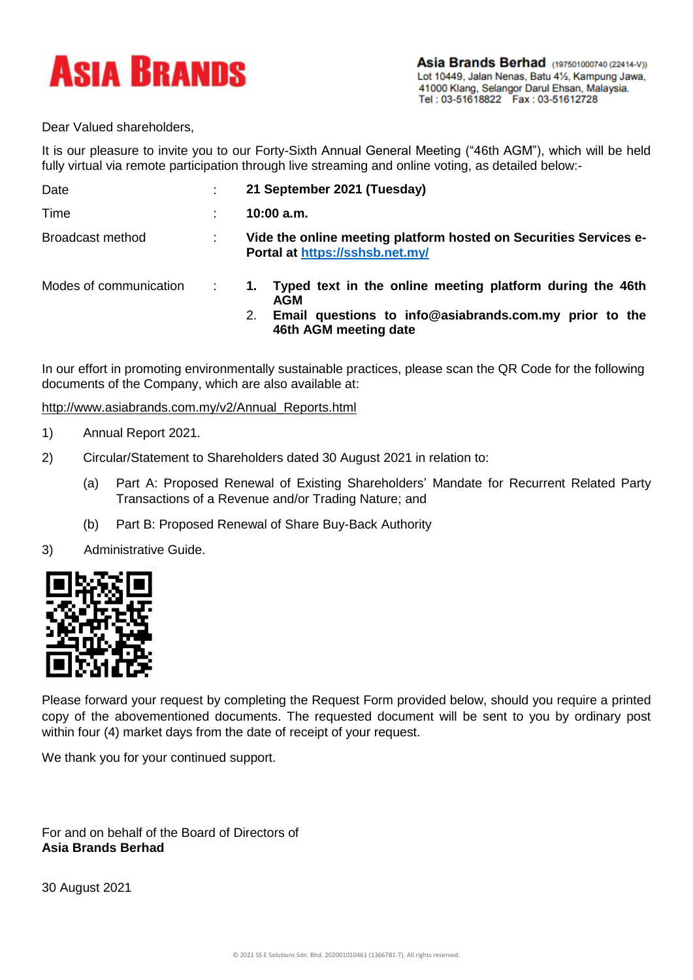

Dear Valued shareholders,

It is our pleasure to invite you to our Forty-Sixth Annual General Meeting ("46th AGM"), which will be held fully virtual via remote participation through live streaming and online voting, as detailed below:-

| Date                   | ÷              | 21 September 2021 (Tuesday)                                                                                                                                     |  |
|------------------------|----------------|-----------------------------------------------------------------------------------------------------------------------------------------------------------------|--|
| Time                   | $\blacksquare$ | 10:00 a.m.                                                                                                                                                      |  |
| Broadcast method       | ÷              | Vide the online meeting platform hosted on Securities Services e-<br>Portal at https://sshsb.net.my/                                                            |  |
| Modes of communication |                | Typed text in the online meeting platform during the 46th<br>1.<br>AGM<br>Email questions to info@asiabrands.com.my prior to the<br>2.<br>46th AGM meeting date |  |

In our effort in promoting environmentally sustainable practices, please scan the QR Code for the following documents of the Company, which are also available at:

http://www.asiabrands.com.my/v2/Annual\_Reports.html

- 1) Annual Report 2021.
- 2) Circular/Statement to Shareholders dated 30 August 2021 in relation to:
	- (a) Part A: Proposed Renewal of Existing Shareholders' Mandate for Recurrent Related Party Transactions of a Revenue and/or Trading Nature; and
	- (b) Part B: Proposed Renewal of Share Buy-Back Authority
- 3) Administrative Guide.



Please forward your request by completing the Request Form provided below, should you require a printed copy of the abovementioned documents. The requested document will be sent to you by ordinary post within four (4) market days from the date of receipt of your request.

We thank you for your continued support.

For and on behalf of the Board of Directors of **Asia Brands Berhad**

30 August 2021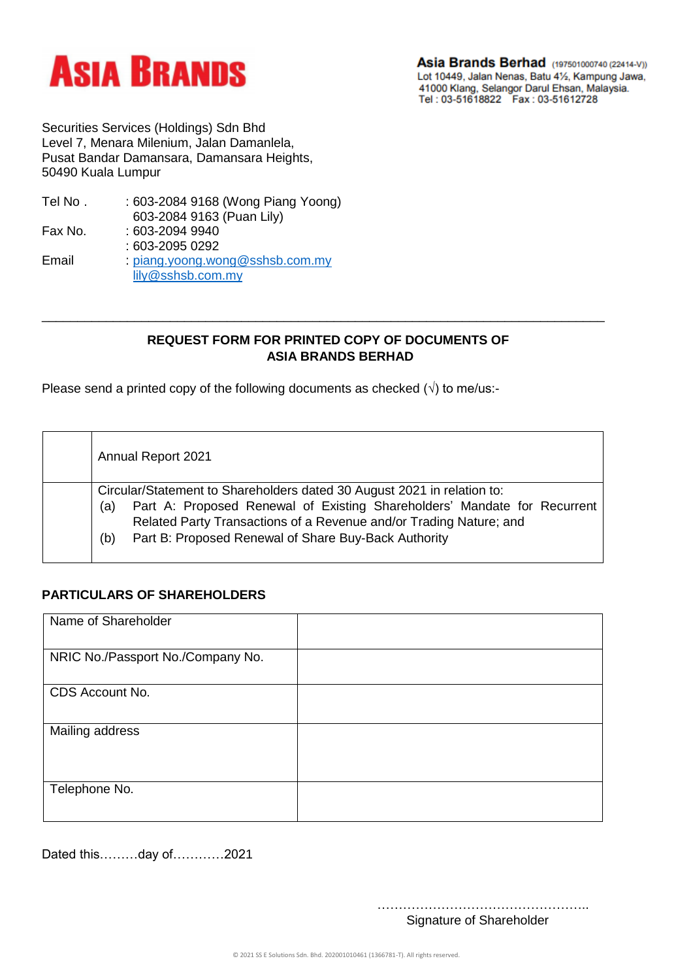

Asia Brands Berhad (197501000740 (22414-V)) Lot 10449, Jalan Nenas, Batu 41/2, Kampung Jawa, 1000 Klang, Selangor Darul Ehsan, Malaysia.<br>Tel : 03-51618822 Fax : 03-51612728

Securities Services (Holdings) Sdn Bhd Level 7, Menara Milenium, Jalan Damanlela, Pusat Bandar Damansara, Damansara Heights, 50490 Kuala Lumpur

| Tel No. | : 603-2084 9168 (Wong Piang Yoong) |
|---------|------------------------------------|
|         | 603-2084 9163 (Puan Lily)          |
| Fax No. | : 603-2094 9940                    |
|         | : 603-2095 0292                    |
| Email   | : piang.yoong.wong@sshsb.com.my    |
|         | lily@sshsb.com.my                  |
|         |                                    |

## **REQUEST FORM FOR PRINTED COPY OF DOCUMENTS OF ASIA BRANDS BERHAD**

\_\_\_\_\_\_\_\_\_\_\_\_\_\_\_\_\_\_\_\_\_\_\_\_\_\_\_\_\_\_\_\_\_\_\_\_\_\_\_\_\_\_\_\_\_\_\_\_\_\_\_\_\_\_\_\_\_\_\_\_\_\_\_\_\_\_\_\_\_\_\_\_\_\_\_\_\_\_\_

Please send a printed copy of the following documents as checked  $(\sqrt{})$  to me/us:-

| Annual Report 2021                                                                                                                                                                                                                                                                              |  |  |  |  |
|-------------------------------------------------------------------------------------------------------------------------------------------------------------------------------------------------------------------------------------------------------------------------------------------------|--|--|--|--|
| Circular/Statement to Shareholders dated 30 August 2021 in relation to:<br>Part A: Proposed Renewal of Existing Shareholders' Mandate for Recurrent<br>(a)<br>Related Party Transactions of a Revenue and/or Trading Nature; and<br>Part B: Proposed Renewal of Share Buy-Back Authority<br>(b) |  |  |  |  |

## **PARTICULARS OF SHAREHOLDERS**

| Name of Shareholder               |  |
|-----------------------------------|--|
| NRIC No./Passport No./Company No. |  |
| CDS Account No.                   |  |
| Mailing address                   |  |
| Telephone No.                     |  |

Dated this………day of…………2021

………………………………………….. Signature of Shareholder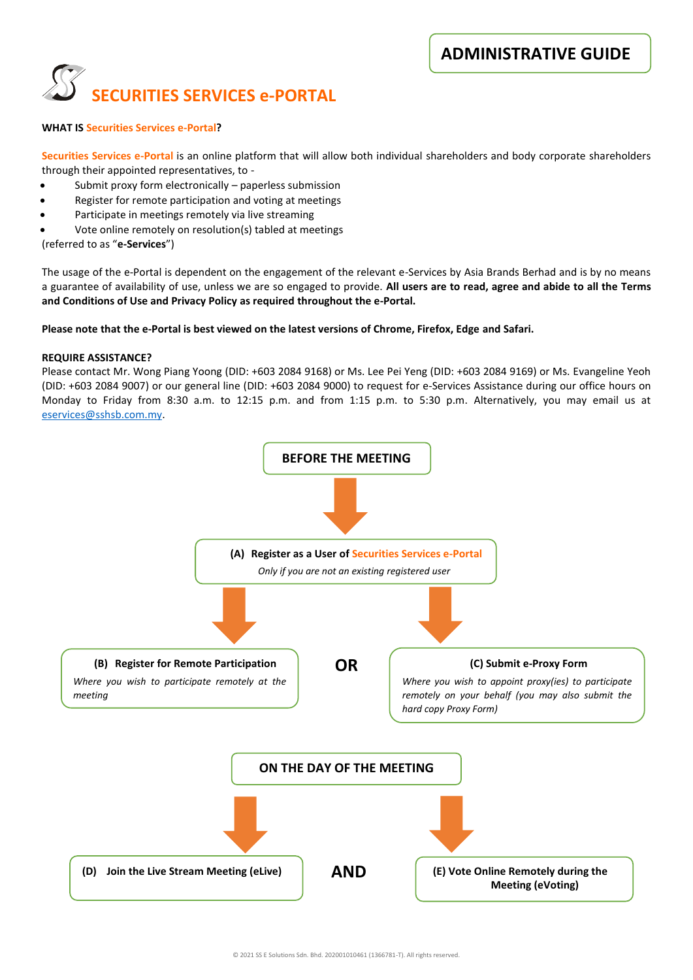

#### **WHAT IS Securities Services e-Portal?**

**Securities Services e-Portal** is an online platform that will allow both individual shareholders and body corporate shareholders through their appointed representatives, to -

- Submit proxy form electronically paperless submission
- Register for remote participation and voting at meetings
- Participate in meetings remotely via live streaming
- Vote online remotely on resolution(s) tabled at meetings

(referred to as "**e-Services**")

The usage of the e-Portal is dependent on the engagement of the relevant e-Services by Asia Brands Berhad and is by no means a guarantee of availability of use, unless we are so engaged to provide. **All users are to read, agree and abide to all the Terms and Conditions of Use and Privacy Policy as required throughout the e-Portal.**

#### **Please note that the e-Portal is best viewed on the latest versions of Chrome, Firefox, Edge and Safari.**

#### **REQUIRE ASSISTANCE?**

Please contact Mr. Wong Piang Yoong (DID: +603 2084 9168) or Ms. Lee Pei Yeng (DID: +603 2084 9169) or Ms. Evangeline Yeoh (DID: +603 2084 9007) or our general line (DID: +603 2084 9000) to request for e-Services Assistance during our office hours on Monday to Friday from 8:30 a.m. to 12:15 p.m. and from 1:15 p.m. to 5:30 p.m. Alternatively, you may email us at [eservices@sshsb.com.my.](mailto:eservices@sshsb.com.my)

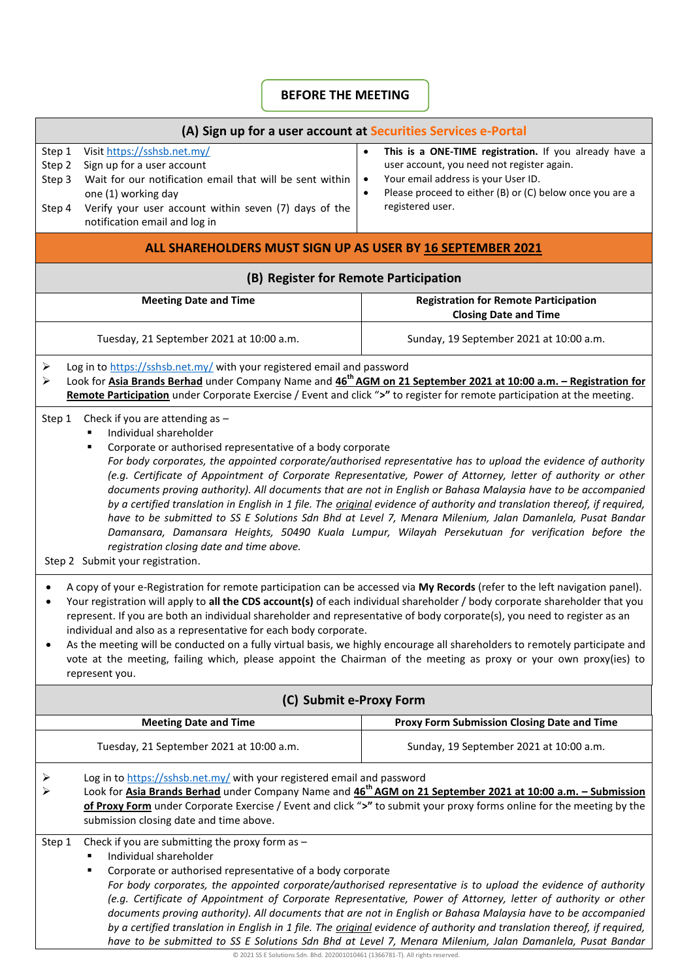# **BEFORE THE MEETING**

| (A) Sign up for a user account at Securities Services e-Portal                                                                                                                                                                                                                                                                                                                                                                                                                                                                                                                                                                                                                                                                                                                                                                                                                                                                                                                                                                                                                                                                                                                                                                                                                                                                                                                                                                                                                                                                                                                                                                                                   |                                                                                                                                                                                                                                                                    |  |  |  |
|------------------------------------------------------------------------------------------------------------------------------------------------------------------------------------------------------------------------------------------------------------------------------------------------------------------------------------------------------------------------------------------------------------------------------------------------------------------------------------------------------------------------------------------------------------------------------------------------------------------------------------------------------------------------------------------------------------------------------------------------------------------------------------------------------------------------------------------------------------------------------------------------------------------------------------------------------------------------------------------------------------------------------------------------------------------------------------------------------------------------------------------------------------------------------------------------------------------------------------------------------------------------------------------------------------------------------------------------------------------------------------------------------------------------------------------------------------------------------------------------------------------------------------------------------------------------------------------------------------------------------------------------------------------|--------------------------------------------------------------------------------------------------------------------------------------------------------------------------------------------------------------------------------------------------------------------|--|--|--|
| Visit https://sshsb.net.my/<br>Step 1<br>Step 2<br>Sign up for a user account<br>Wait for our notification email that will be sent within<br>Step 3<br>one (1) working day<br>Verify your user account within seven (7) days of the<br>Step 4<br>notification email and log in                                                                                                                                                                                                                                                                                                                                                                                                                                                                                                                                                                                                                                                                                                                                                                                                                                                                                                                                                                                                                                                                                                                                                                                                                                                                                                                                                                                   | This is a ONE-TIME registration. If you already have a<br>$\bullet$<br>user account, you need not register again.<br>Your email address is your User ID.<br>$\bullet$<br>Please proceed to either (B) or (C) below once you are a<br>$\bullet$<br>registered user. |  |  |  |
| ALL SHAREHOLDERS MUST SIGN UP AS USER BY 16 SEPTEMBER 2021                                                                                                                                                                                                                                                                                                                                                                                                                                                                                                                                                                                                                                                                                                                                                                                                                                                                                                                                                                                                                                                                                                                                                                                                                                                                                                                                                                                                                                                                                                                                                                                                       |                                                                                                                                                                                                                                                                    |  |  |  |
| (B) Register for Remote Participation                                                                                                                                                                                                                                                                                                                                                                                                                                                                                                                                                                                                                                                                                                                                                                                                                                                                                                                                                                                                                                                                                                                                                                                                                                                                                                                                                                                                                                                                                                                                                                                                                            |                                                                                                                                                                                                                                                                    |  |  |  |
| <b>Meeting Date and Time</b>                                                                                                                                                                                                                                                                                                                                                                                                                                                                                                                                                                                                                                                                                                                                                                                                                                                                                                                                                                                                                                                                                                                                                                                                                                                                                                                                                                                                                                                                                                                                                                                                                                     | <b>Registration for Remote Participation</b><br><b>Closing Date and Time</b>                                                                                                                                                                                       |  |  |  |
| Tuesday, 21 September 2021 at 10:00 a.m.                                                                                                                                                                                                                                                                                                                                                                                                                                                                                                                                                                                                                                                                                                                                                                                                                                                                                                                                                                                                                                                                                                                                                                                                                                                                                                                                                                                                                                                                                                                                                                                                                         | Sunday, 19 September 2021 at 10:00 a.m.                                                                                                                                                                                                                            |  |  |  |
| Log in to https://sshsb.net.my/ with your registered email and password<br>➤<br>≻<br>Remote Participation under Corporate Exercise / Event and click ">" to register for remote participation at the meeting.                                                                                                                                                                                                                                                                                                                                                                                                                                                                                                                                                                                                                                                                                                                                                                                                                                                                                                                                                                                                                                                                                                                                                                                                                                                                                                                                                                                                                                                    | Look for Asia Brands Berhad under Company Name and 46 <sup>th</sup> AGM on 21 September 2021 at 10:00 a.m. - Registration for                                                                                                                                      |  |  |  |
| Check if you are attending as -<br>Step 1<br>Individual shareholder<br>Corporate or authorised representative of a body corporate<br>For body corporates, the appointed corporate/authorised representative has to upload the evidence of authority<br>(e.g. Certificate of Appointment of Corporate Representative, Power of Attorney, letter of authority or other<br>documents proving authority). All documents that are not in English or Bahasa Malaysia have to be accompanied<br>by a certified translation in English in 1 file. The <i>original</i> evidence of authority and translation thereof, if required,<br>have to be submitted to SS E Solutions Sdn Bhd at Level 7, Menara Milenium, Jalan Damanlela, Pusat Bandar<br>Damansara, Damansara Heights, 50490 Kuala Lumpur, Wilayah Persekutuan for verification before the<br>registration closing date and time above.<br>Step 2 Submit your registration.<br>A copy of your e-Registration for remote participation can be accessed via My Records (refer to the left navigation panel).<br>Your registration will apply to all the CDS account(s) of each individual shareholder / body corporate shareholder that you<br>represent. If you are both an individual shareholder and representative of body corporate(s), you need to register as an<br>individual and also as a representative for each body corporate.<br>As the meeting will be conducted on a fully virtual basis, we highly encourage all shareholders to remotely participate and<br>vote at the meeting, failing which, please appoint the Chairman of the meeting as proxy or your own proxy(ies) to<br>represent you. |                                                                                                                                                                                                                                                                    |  |  |  |
| (C) Submit e-Proxy Form                                                                                                                                                                                                                                                                                                                                                                                                                                                                                                                                                                                                                                                                                                                                                                                                                                                                                                                                                                                                                                                                                                                                                                                                                                                                                                                                                                                                                                                                                                                                                                                                                                          |                                                                                                                                                                                                                                                                    |  |  |  |
| <b>Meeting Date and Time</b>                                                                                                                                                                                                                                                                                                                                                                                                                                                                                                                                                                                                                                                                                                                                                                                                                                                                                                                                                                                                                                                                                                                                                                                                                                                                                                                                                                                                                                                                                                                                                                                                                                     | Proxy Form Submission Closing Date and Time                                                                                                                                                                                                                        |  |  |  |
| Tuesday, 21 September 2021 at 10:00 a.m.                                                                                                                                                                                                                                                                                                                                                                                                                                                                                                                                                                                                                                                                                                                                                                                                                                                                                                                                                                                                                                                                                                                                                                                                                                                                                                                                                                                                                                                                                                                                                                                                                         | Sunday, 19 September 2021 at 10:00 a.m.                                                                                                                                                                                                                            |  |  |  |
| Log in to https://sshsb.net.my/ with your registered email and password<br>➤<br>Look for Asia Brands Berhad under Company Name and 46 <sup>th</sup> AGM on 21 September 2021 at 10:00 a.m. - Submission<br>➤<br>of Proxy Form under Corporate Exercise / Event and click ">" to submit your proxy forms online for the meeting by the<br>submission closing date and time above.                                                                                                                                                                                                                                                                                                                                                                                                                                                                                                                                                                                                                                                                                                                                                                                                                                                                                                                                                                                                                                                                                                                                                                                                                                                                                 |                                                                                                                                                                                                                                                                    |  |  |  |
| Check if you are submitting the proxy form as $-$<br>Step 1<br>Individual shareholder<br>Corporate or authorised representative of a body corporate<br>For body corporates, the appointed corporate/authorised representative is to upload the evidence of authority<br>(e.g. Certificate of Appointment of Corporate Representative, Power of Attorney, letter of authority or other<br>documents proving authority). All documents that are not in English or Bahasa Malaysia have to be accompanied<br>by a certified translation in English in 1 file. The <i>original</i> evidence of authority and translation thereof, if required,<br>have to be submitted to SS E Solutions Sdn Bhd at Level 7, Menara Milenium, Jalan Damanlela, Pusat Bandar                                                                                                                                                                                                                                                                                                                                                                                                                                                                                                                                                                                                                                                                                                                                                                                                                                                                                                          |                                                                                                                                                                                                                                                                    |  |  |  |